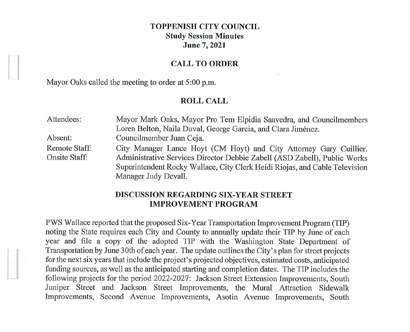# **TOPPENISH CITY COUNCIL Study Session Minutes June 7, 2021**

# **CALL TO ORDER**

Mayor Oaks called the meeting to order at 5:00 p.m.

### **ROLL CALL**

| Attendees:           | Mayor Mark Oaks, Mayor Pro Tem Elpidia Saavedra, and Councilmembers         |
|----------------------|-----------------------------------------------------------------------------|
|                      | Loren Belton, Naila Duval, George Garcia, and Clara Jiménez.                |
| Absent:              | Councilmember Juan Ceja.                                                    |
| Remote Staff:        | City Manager Lance Hoyt (CM Hoyt) and City Attorney Gary Cuillier.          |
| <b>Onsite Staff:</b> | Administrative Services Director Debbie Zabell (ASD Zabell), Public Works   |
|                      | Superintendent Rocky Wallace, City Clerk Heidi Riojas, and Cable Television |
|                      | Manager Judy Devall.                                                        |

## **DISCUSSION REGARDING SIX-YEAR STREET IMPROVEMENT PROGRAM**

PWS Wallace reported that the proposed Six-Year Transportation Improvement Program (TIP) noting the State requires each City and County to annually update their TIP by June of each year and file a copy of the adopted TIP with the Washington State Department of Transportation by June 30th of each year. The update outlines the City's plan for street projects for the next six years that include the project's projected objectives, estimated costs, anticipated funding sources, as well as the anticipated starting and completion dates. The TIP includes the following projects for the period 2022-2027: Jackson Street Extension Improvements, South Juniper Street and Jackson Street Improvements, the Mural Attraction Sidewalk Improvements, Second Avenue Improvements, Asotin Avenue Improvements, South